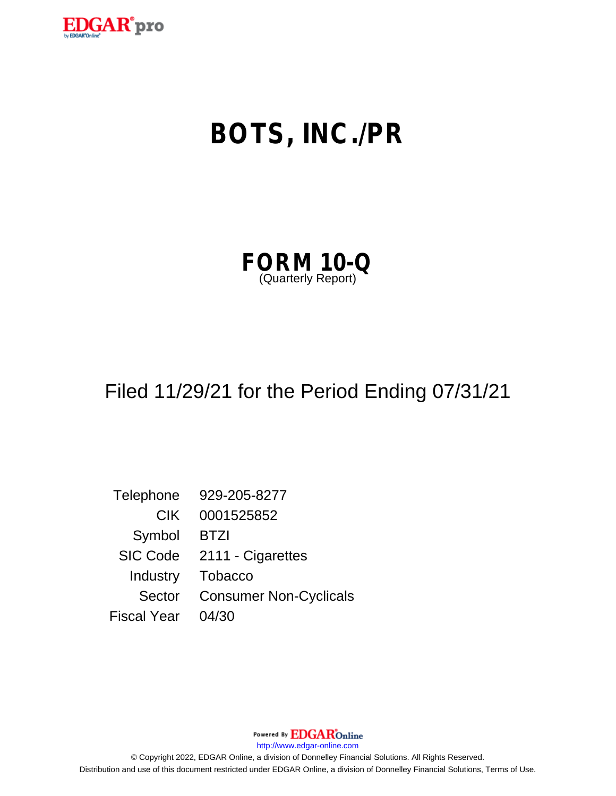

# **BOTS, INC./PR**

| <b>FORM 10-Q</b>   |  |  |
|--------------------|--|--|
| (Quarterly Report) |  |  |

## Filed 11/29/21 for the Period Ending 07/31/21

Telephone 929-205-8277 CIK 0001525852 Symbol BTZI SIC Code 2111 - Cigarettes Industry Tobacco Sector Consumer Non-Cyclicals Fiscal Year 04/30

http://www.edgar-online.com

© Copyright 2022, EDGAR Online, a division of Donnelley Financial Solutions. All Rights Reserved. Distribution and use of this document restricted under EDGAR Online, a division of Donnelley Financial Solutions, Terms of Use.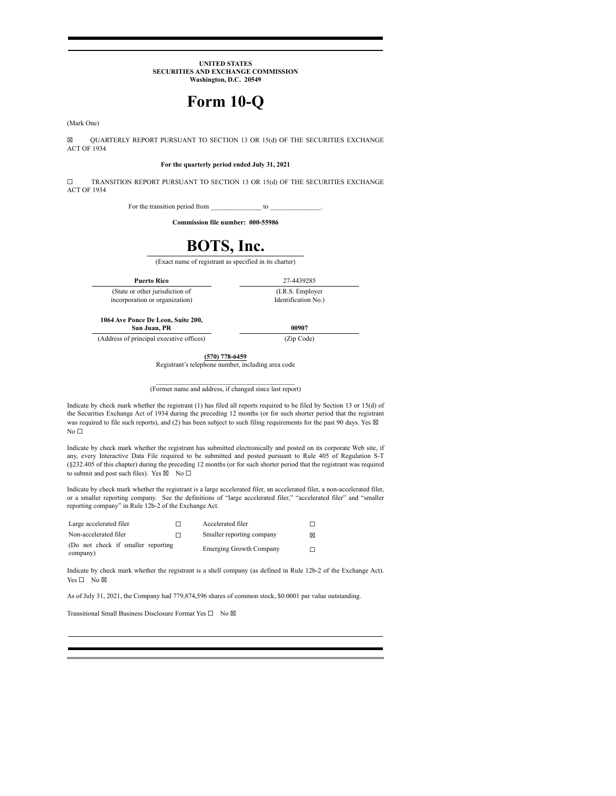#### **UNITED STATES** SECURITIES AND EXCHANGE COMMISSION Washington, D.C. 20549

## Form 10-Q

(Mark One)

QUARTERLY REPORT PURSUANT TO SECTION 13 OR 15(d) OF THE SECURITIES EXCHANGE  $\boxtimes$ ACT OF 1934

#### For the quarterly period ended July 31, 2021

TRANSITION REPORT PURSUANT TO SECTION 13 OR 15(d) OF THE SECURITIES EXCHANGE  $\Box$ **ACT OF 1934** 

> For the transition period from to

> > Commission file number: 000-55986

## BOTS, Inc.

(Exact name of registrant as specified in its charter)

**Puerto Rico** (State or other jurisdiction of incorporation or organization)

27-4439285 (I.R.S. Employer Identification No.)

1064 Ave Ponce De Leon, Suite 200, San Juan, PR

(Address of principal executive offices)

00907 (Zip Code)

 $(570)$  778-6459 Registrant's telephone number, including area code

(Former name and address, if changed since last report)

Indicate by check mark whether the registrant (1) has filed all reports required to be filed by Section 13 or 15(d) of the Securities Exchange Act of 1934 during the preceding 12 months (or for such shorter period that the registrant was required to file such reports), and (2) has been subject to such filing requirements for the past 90 days. Yes  $\boxtimes$ No  $\Box$ 

Indicate by check mark whether the registrant has submitted electronically and posted on its corporate Web site, if any, every Interactive Data File required to be submitted and posted pursuant to Rule 405 of Regulation S-T (§232.405 of this chapter) during the preceding 12 months (or for such shorter period that the registrant was required to submit and post such files). Yes  $\boxtimes$  No  $\square$ 

Indicate by check mark whether the registrant is a large accelerated filer, an accelerated filer, a non-accelerated filer, or a smaller reporting company. See the definitions of "large accelerated filer," "accelerated file reporting company" in Rule 12b-2 of the Exchange Act.

| Large accelerated filer                        |   | Accelerated filer         |   |
|------------------------------------------------|---|---------------------------|---|
| Non-accelerated filer                          | п | Smaller reporting company | ⊠ |
| (Do not check if smaller reporting<br>company) |   | Emerging Growth Company   |   |

Indicate by check mark whether the registrant is a shell company (as defined in Rule 12b-2 of the Exchange Act).  $Yes \Box No \boxtimes$ 

As of July 31, 2021, the Company had 779,874,596 shares of common stock, \$0.0001 par value outstanding.

Transitional Small Business Disclosure Format Yes □ No ⊠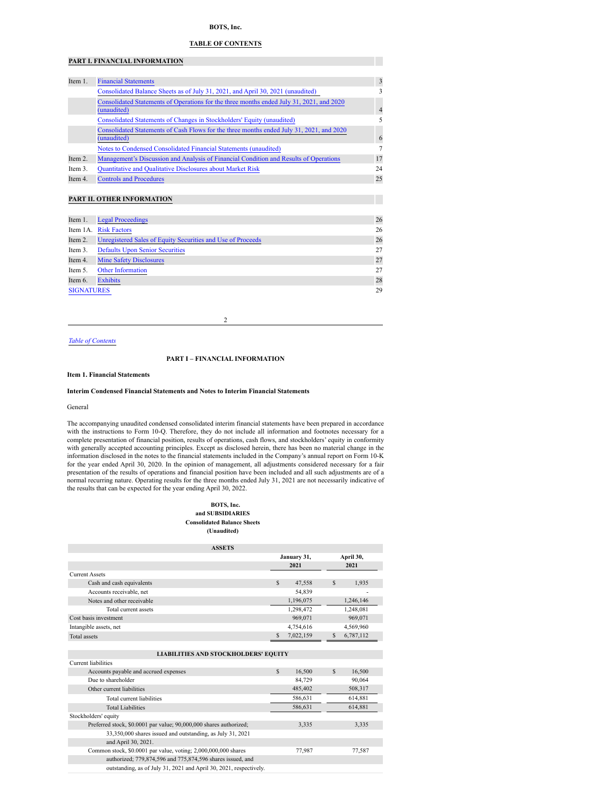#### **BOTS, Inc.**

#### **TABLE OF CONTENTS**

#### <span id="page-2-2"></span>**PART I. FINANCIAL INFORMATION**

| Item 1. | <b>Financial Statements</b>                                                                             | 3              |
|---------|---------------------------------------------------------------------------------------------------------|----------------|
|         | Consolidated Balance Sheets as of July 31, 2021, and April 30, 2021 (unaudited)                         |                |
|         | Consolidated Statements of Operations for the three months ended July 31, 2021, and 2020<br>(unaudited) | $\overline{4}$ |
|         | Consolidated Statements of Changes in Stockholders' Equity (unaudited)                                  |                |
|         | Consolidated Statements of Cash Flows for the three months ended July 31, 2021, and 2020<br>(unaudited) | 6              |
|         | Notes to Condensed Consolidated Financial Statements (unaudited)                                        |                |
| Item 2. | Management's Discussion and Analysis of Financial Condition and Results of Operations                   | 17             |
| Item 3. | Quantitative and Qualitative Disclosures about Market Risk                                              | 24             |
| Item 4. | <b>Controls and Procedures</b>                                                                          | 25             |

#### **PART II. OTHER INFORMATION**

| Item 1.           | <b>Legal Proceedings</b>                                    | 26 |
|-------------------|-------------------------------------------------------------|----|
|                   | Item 1A. Risk Factors                                       | 26 |
| Item 2.           | Unregistered Sales of Equity Securities and Use of Proceeds | 26 |
| Item 3.           | <b>Defaults Upon Senior Securities</b>                      | 27 |
| Item 4.           | <b>Mine Safety Disclosures</b>                              | 27 |
| Item 5.           | <b>Other Information</b>                                    | 27 |
| Item 6.           | <b>Exhibits</b>                                             | 28 |
| <b>SIGNATURES</b> |                                                             | 29 |

2

#### *Table of [Contents](#page-2-2)*

#### **PART I – FINANCIAL INFORMATION**

#### <span id="page-2-0"></span>**Item 1. Financial Statements**

#### **Interim Condensed Financial Statements and Notes to Interim Financial Statements**

#### General

The accompanying unaudited condensed consolidated interim financial statements have been prepared in accordance with the instructions to Form 10-Q. Therefore, they do not include all information and footnotes necessary for a complete presentation of financial position, results of operations, cash flows, and stockholders' equity in conformity with generally accepted accounting principles. Except as disclosed herein, there has been no material change in the information disclosed in the notes to the financial statements included in the Company's annual report on Form 10-K for the year ended April 30, 2020. In the opinion of management, all adjustments considered necessary for a fair presentation of the results of operations and financial position have been included and all such adjustments are of a normal recurring nature. Operating results for the three months ended July 31, 2021 are not necessarily indicative of the results that can be expected for the year ending April 30, 2022.

#### **BOTS, Inc. and SUBSIDIARIES Consolidated Balance Sheets (Unaudited)**

<span id="page-2-1"></span>

| <b>ASSETS</b>                               |             |           |           |           |  |
|---------------------------------------------|-------------|-----------|-----------|-----------|--|
|                                             | January 31, |           |           | April 30, |  |
|                                             |             | 2021      |           | 2021      |  |
| <b>Current Assets</b>                       |             |           |           |           |  |
| Cash and cash equivalents                   | $\mathbf S$ | 47,558    | \$        | 1,935     |  |
| Accounts receivable, net                    |             | 54,839    |           |           |  |
| Notes and other receivable                  |             | 1,196,075 | 1,246,146 |           |  |
| Total current assets                        |             | 1,298,472 |           | 1,248,081 |  |
| Cost basis investment                       |             | 969,071   |           | 969,071   |  |
| Intangible assets, net                      |             | 4,754,616 |           | 4,569,960 |  |
| <b>Total assets</b>                         | S           | 7,022,159 | \$        | 6,787,112 |  |
|                                             |             |           |           |           |  |
| <b>LIABILITIES AND STOCKHOLDERS' EQUITY</b> |             |           |           |           |  |
| Current liabilities                         |             |           |           |           |  |
| Accounts payable and accrued expenses       | \$          | 16,500    | \$        | 16,500    |  |
| Due to shareholder                          |             | 84,729    |           | 90,064    |  |
| Other current liabilities                   |             | 485,402   |           | 508,317   |  |

| Other current liabilities                                          | 485,402 | 508,317 |
|--------------------------------------------------------------------|---------|---------|
| Total current liabilities                                          | 586,631 | 614,881 |
| <b>Total Liabilities</b>                                           | 586,631 | 614,881 |
| Stockholders' equity                                               |         |         |
| Preferred stock, \$0.0001 par value; 90,000,000 shares authorized; | 3,335   | 3,335   |
| 33,350,000 shares issued and outstanding, as July 31, 2021         |         |         |
| and April 30, 2021.                                                |         |         |
| Common stock, \$0.0001 par value, voting; 2,000,000,000 shares     | 77,987  | 77,587  |
| authorized; 779,874,596 and 775,874,596 shares issued, and         |         |         |
| outstanding, as of July 31, 2021 and April 30, 2021, respectively. |         |         |
|                                                                    |         |         |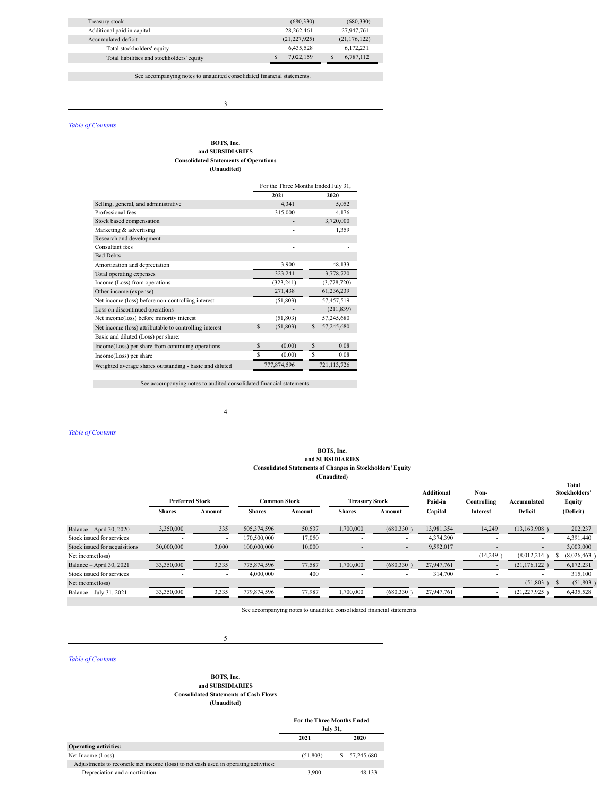| Treasury stock                             | (680, 330)     | (680, 330)     |
|--------------------------------------------|----------------|----------------|
| Additional paid in capital                 | 28.262.461     | 27.947.761     |
| Accumulated deficit                        | (21, 227, 925) | (21, 176, 122) |
| Total stockholders' equity                 | 6,435,528      | 6,172,231      |
| Total liabilities and stockholders' equity | 7,022,159      | 6,787,112      |

See accompanying notes to unaudited consolidated financial statements.

3

#### <span id="page-3-0"></span>*Table of [Contents](#page-2-2)*

#### **BOTS, Inc. and SUBSIDIARIES Consolidated Statements of Operations (Unaudited)**

| For the Three Months Ended July 31, |                  |  |  |  |
|-------------------------------------|------------------|--|--|--|
| 2021                                | 2020             |  |  |  |
| 4,341                               | 5,052            |  |  |  |
| 315,000                             | 4,176            |  |  |  |
|                                     | 3,720,000        |  |  |  |
|                                     | 1,359            |  |  |  |
|                                     |                  |  |  |  |
|                                     |                  |  |  |  |
|                                     |                  |  |  |  |
| 3,900                               | 48,133           |  |  |  |
| 323,241                             | 3,778,720        |  |  |  |
| (323, 241)                          | (3,778,720)      |  |  |  |
| 271,438                             | 61,236,239       |  |  |  |
| (51, 803)                           | 57,457,519       |  |  |  |
|                                     | (211, 839)       |  |  |  |
| (51, 803)                           | 57,245,680       |  |  |  |
| (51, 803)<br>S                      | 57,245,680<br>\$ |  |  |  |
|                                     |                  |  |  |  |
| \$<br>(0.00)                        | \$<br>0.08       |  |  |  |
| \$<br>(0.00)                        | S<br>0.08        |  |  |  |
| 777,874,596<br>721, 113, 726        |                  |  |  |  |
|                                     |                  |  |  |  |

See accompanying notes to audited consolidated financial statements.

4

#### <span id="page-3-1"></span>*Table of [Contents](#page-2-2)*

**The State** 

#### **BOTS, Inc. and SUBSIDIARIES Consolidated Statements of Changes in Stockholders' Equity (Unaudited)**

**Total**

|                               | <b>Preferred Stock</b> |                          | <b>Common Stock</b> |        |               | <b>Treasury Stock</b> |            | Non-<br>Controlling      | Accumulated    | Stockholders'<br><b>Equity</b> |
|-------------------------------|------------------------|--------------------------|---------------------|--------|---------------|-----------------------|------------|--------------------------|----------------|--------------------------------|
|                               | <b>Shares</b>          | Amount                   | <b>Shares</b>       | Amount | <b>Shares</b> | Amount                | Capital    | Interest                 | Deficit        | (Deficit)                      |
| Balance - April 30, 2020      | 3,350,000              | 335                      | 505,374,596         | 50,537 | 1,700,000     | (680, 330)            | 13,981,354 | 14,249                   | (13, 163, 908) | 202,237                        |
| Stock issued for services     |                        | $\overline{\phantom{a}}$ | 170,500,000         | 17,050 |               |                       | 4.374.390  |                          |                | 4.391.440                      |
| Stock issued for acquisitions | 30,000,000             | 3,000                    | 100,000,000         | 10,000 | ۰             | $\sim$                | 9,592,017  | -                        |                | 3,003,000                      |
| Net income(loss)              |                        |                          |                     |        |               |                       |            | (14,249)                 | (8,012,214)    | (8,026,463)                    |
| Balance - April 30, 2021      | 33,350,000             | 3,335                    | 775.874.596         | 77,587 | 1,700,000     | (680, 330)            | 27.947.761 |                          | (21, 176, 122) | 6,172,231                      |
| Stock issued for services     |                        | $\overline{\phantom{a}}$ | 4,000,000           | 400    |               |                       | 314.700    | ۰                        |                | 315.100                        |
| Net income(loss)              |                        | $\overline{\phantom{0}}$ |                     |        | -             |                       |            | $\overline{\phantom{0}}$ | (51, 803)      | (51,803)                       |
| Balance - July 31, 2021       | 33,350,000             | 3,335                    | 779,874,596         | 77,987 | 1,700,000     | (680, 330)            | 27.947.761 |                          | (21, 227, 925) | 6,435,528                      |
|                               |                        |                          |                     |        |               |                       |            |                          |                |                                |

See accompanying notes to unaudited consolidated financial statements.

<span id="page-3-2"></span>*Table of [Contents](#page-2-2)*

#### **BOTS, Inc. and SUBSIDIARIES Consolidated Statements of Cash Flows (Unaudited)**

5

|                                                                                      | <b>For the Three Months Ended</b><br><b>July 31,</b> |   |            |
|--------------------------------------------------------------------------------------|------------------------------------------------------|---|------------|
|                                                                                      | 2021                                                 |   | 2020       |
| <b>Operating activities:</b>                                                         |                                                      |   |            |
| Net Income (Loss)                                                                    | (51,803)                                             | S | 57.245.680 |
| Adjustments to reconcile net income (loss) to net cash used in operating activities: |                                                      |   |            |
| Depreciation and amortization                                                        | 3,900                                                |   | 48.133     |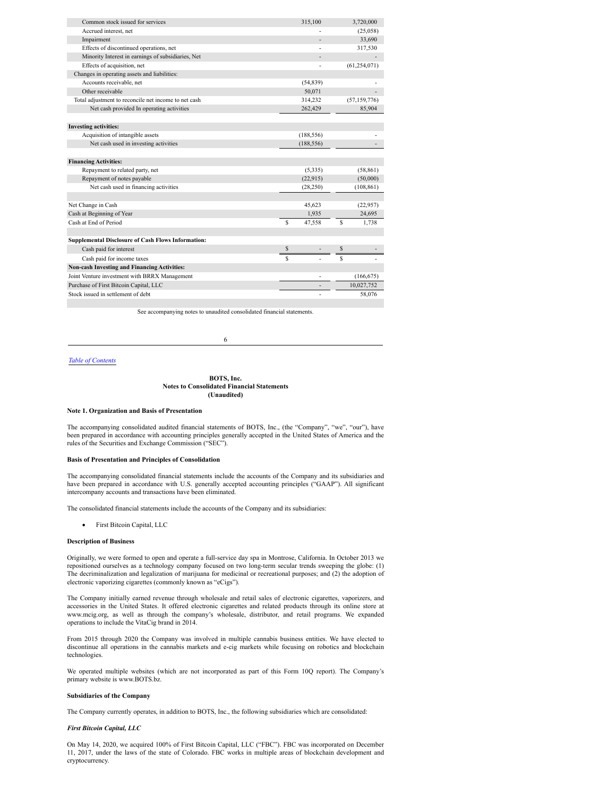| Common stock issued for services                          | 315,100      |    | 3,720,000      |
|-----------------------------------------------------------|--------------|----|----------------|
| Accrued interest, net                                     |              |    | (25,058)       |
| Impairment                                                |              |    | 33,690         |
| Effects of discontinued operations, net                   |              |    | 317,530        |
| Minority Interest in earnings of subsidiaries, Net        |              |    |                |
| Effects of acquisition, net                               |              |    | (61, 254, 071) |
| Changes in operating assets and liabilities:              |              |    |                |
| Accounts receivable, net                                  | (54, 839)    |    |                |
| Other receivable                                          | 50,071       |    |                |
| Total adjustment to reconcile net income to net cash      | 314,232      |    | (57, 159, 776) |
| Net cash provided In operating activities                 | 262,429      |    | 85,904         |
|                                                           |              |    |                |
| <b>Investing activities:</b>                              |              |    |                |
| Acquisition of intangible assets                          | (188, 556)   |    |                |
| Net cash used in investing activities                     | (188, 556)   |    |                |
|                                                           |              |    |                |
| <b>Financing Activities:</b>                              |              |    |                |
| Repayment to related party, net                           | (5,335)      |    | (58, 861)      |
| Repayment of notes payable                                | (22, 915)    |    | (50,000)       |
| Net cash used in financing activities                     | (28, 250)    |    | (108, 861)     |
|                                                           |              |    |                |
| Net Change in Cash                                        | 45,623       |    | (22,957)       |
| Cash at Beginning of Year                                 | 1,935        |    | 24,695         |
| Cash at End of Period                                     | \$<br>47,558 | Ŝ  | 1,738          |
|                                                           |              |    |                |
| <b>Supplemental Disclosure of Cash Flows Information:</b> |              |    |                |
| Cash paid for interest                                    | \$           | \$ |                |
| Cash paid for income taxes                                | \$           | S  |                |
| <b>Non-cash Investing and Financing Activities:</b>       |              |    |                |
| Joint Venture investment with BRRX Management             |              |    | (166, 675)     |
| Purchase of First Bitcoin Capital, LLC                    |              |    | 10,027,752     |
| Stock issued in settlement of debt                        |              |    | 58,076         |
|                                                           |              |    |                |

See accompanying notes to unaudited consolidated financial statements.

6

### <span id="page-4-0"></span>*Table of [Contents](#page-2-2)*

#### **BOTS, Inc. Notes to Consolidated Financial Statements (Unaudited)**

#### **Note 1. Organization and Basis of Presentation**

The accompanying consolidated audited financial statements of BOTS, Inc., (the "Company", "we", "our"), have been prepared in accordance with accounting principles generally accepted in the United States of America and the rules of the Securities and Exchange Commission ("SEC").

#### **Basis of Presentation and Principles of Consolidation**

The accompanying consolidated financial statements include the accounts of the Company and its subsidiaries and have been prepared in accordance with U.S. generally accepted accounting principles ("GAAP"). All significant intercompany accounts and transactions have been eliminated.

The consolidated financial statements include the accounts of the Company and its subsidiaries:

· First Bitcoin Capital, LLC

#### **Description of Business**

Originally, we were formed to open and operate a full-service day spa in Montrose, California. In October 2013 we repositioned ourselves as a technology company focused on two long-term secular trends sweeping the globe: (1) The decriminalization and legalization of marijuana for medicinal or recreational purposes; and (2) the adoption of electronic vaporizing cigarettes (commonly known as "eCigs").

The Company initially earned revenue through wholesale and retail sales of electronic cigarettes, vaporizers, and accessories in the United States. It offered electronic cigarettes and related products through its online store at www.mcig.org, as well as through the company's wholesale, distributor, and retail programs. We expanded operations to include the VitaCig brand in 2014.

From 2015 through 2020 the Company was involved in multiple cannabis business entities. We have elected to discontinue all operations in the cannabis markets and e-cig markets while focusing on robotics and blockchain technologies.

We operated multiple websites (which are not incorporated as part of this Form 10Q report). The Company's primary website is www.BOTS.bz.

#### **Subsidiaries of the Company**

The Company currently operates, in addition to BOTS, Inc., the following subsidiaries which are consolidated:

#### *First Bitcoin Capital, LLC*

On May 14, 2020, we acquired 100% of First Bitcoin Capital, LLC ("FBC"). FBC was incorporated on December 11, 2017, under the laws of the state of Colorado. FBC works in multiple areas of blockchain development and cryptocurrency.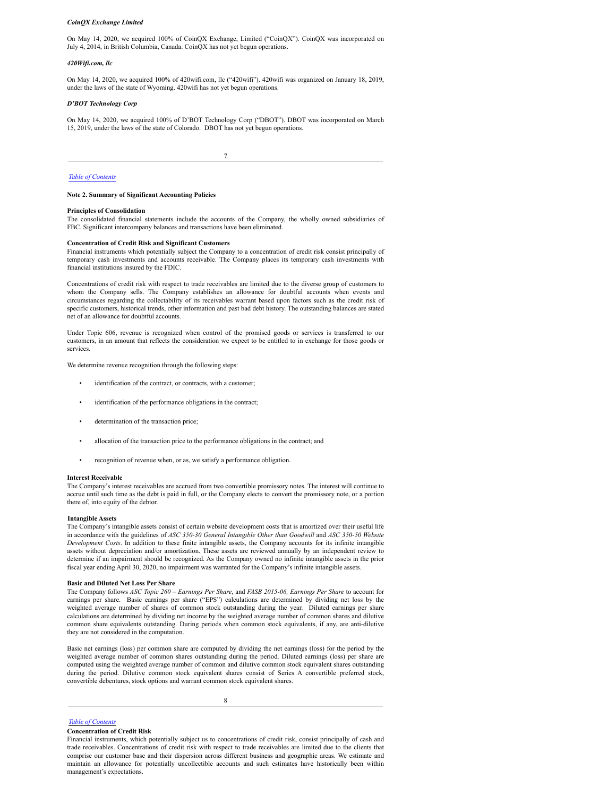#### *CoinQX Exchange Limited*

On May 14, 2020, we acquired 100% of CoinQX Exchange, Limited ("CoinQX"). CoinQX was incorporated on July 4, 2014, in British Columbia, Canada. CoinQX has not yet begun operations.

#### *420Wifi.com, llc*

On May 14, 2020, we acquired 100% of 420wifi.com, llc ("420wifi"). 420wifi was organized on January 18, 2019, under the laws of the state of Wyoming. 420wifi has not yet begun operations.

#### *D'BOT Technology Corp*

On May 14, 2020, we acquired 100% of D'BOT Technology Corp ("DBOT"). DBOT was incorporated on March 15, 2019, under the laws of the state of Colorado. DBOT has not yet begun operations.

7

#### *Table of [Contents](#page-2-2)*

#### **Note 2. Summary of Significant Accounting Policies**

#### **Principles of Consolidation**

The consolidated financial statements include the accounts of the Company, the wholly owned subsidiaries of FBC. Significant intercompany balances and transactions have been eliminated.

#### **Concentration of Credit Risk and Significant Customers**

Financial instruments which potentially subject the Company to a concentration of credit risk consist principally of temporary cash investments and accounts receivable. The Company places its temporary cash investments with financial institutions insured by the FDIC.

Concentrations of credit risk with respect to trade receivables are limited due to the diverse group of customers to whom the Company sells. The Company establishes an allowance for doubtful accounts when events and circumstances regarding the collectability of its receivables warrant based upon factors such as the credit risk of specific customers, historical trends, other information and past bad debt history. The outstanding balances are stated net of an allowance for doubtful accounts.

Under Topic 606, revenue is recognized when control of the promised goods or services is transferred to our customers, in an amount that reflects the consideration we expect to be entitled to in exchange for those goods or services.

We determine revenue recognition through the following steps:

- identification of the contract, or contracts, with a customer;
- identification of the performance obligations in the contract;
- determination of the transaction price;
- allocation of the transaction price to the performance obligations in the contract; and
- recognition of revenue when, or as, we satisfy a performance obligation.

#### **Interest Receivable**

The Company's interest receivables are accrued from two convertible promissory notes. The interest will continue to accrue until such time as the debt is paid in full, or the Company elects to convert the promissory note, or a portion there of, into equity of the debtor.

#### **Intangible Assets**

The Company's intangible assets consist of certain website development costs that is amortized over their useful life in accordance with the guidelines of *ASC 350-30 General Intangible Other than Goodwill* and *ASC 350-50 Website Development Costs*. In addition to these finite intangible assets, the Company accounts for its infinite intangible assets without depreciation and/or amortization. These assets are reviewed annually by an independent review to determine if an impairment should be recognized. As the Company owned no infinite intangible assets in the prior fiscal year ending April 30, 2020, no impairment was warranted for the Company's infinite intangible assets.

#### **Basic and Diluted Net Loss Per Share**

The Company follows *ASC Topic 260 – Earnings Per Share*, and *FASB 2015-06, Earnings Per Share* to account for earnings per share. Basic earnings per share ("EPS") calculations are determined by dividing net loss by the weighted average number of shares of common stock outstanding during the year. Diluted earnings per share calculations are determined by dividing net income by the weighted average number of common shares and dilutive common share equivalents outstanding. During periods when common stock equivalents, if any, are anti-dilutive they are not considered in the computation.

Basic net earnings (loss) per common share are computed by dividing the net earnings (loss) for the period by the weighted average number of common shares outstanding during the period. Diluted earnings (loss) per share are computed using the weighted average number of common and dilutive common stock equivalent shares outstanding during the period. Dilutive common stock equivalent shares consist of Series A convertible preferred stock, convertible debentures, stock options and warrant common stock equivalent shares.

8

*Table of [Contents](#page-2-2)*

#### **Concentration of Credit Risk**

Financial instruments, which potentially subject us to concentrations of credit risk, consist principally of cash and trade receivables. Concentrations of credit risk with respect to trade receivables are limited due to the clients that comprise our customer base and their dispersion across different business and geographic areas. We estimate and maintain an allowance for potentially uncollectible accounts and such estimates have historically been within management's expectations.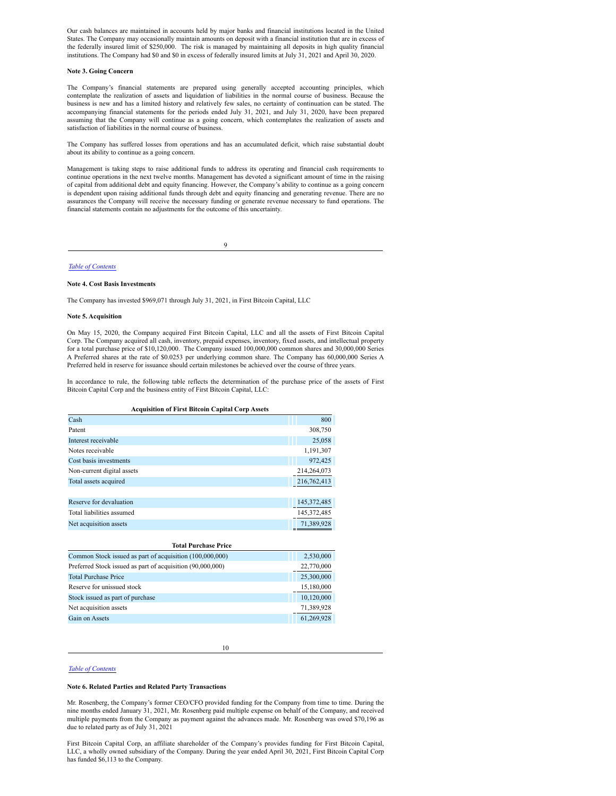Our cash balances are maintained in accounts held by major banks and financial institutions located in the United States. The Company may occasionally maintain amounts on deposit with a financial institution that are in excess of the federally insured limit of \$250,000. The risk is managed by maintaining all deposits in high quality financial institutions. The Company had \$0 and \$0 in excess of federally insured limits at July 31, 2021 and April 30, 2020.

#### **Note 3. Going Concern**

The Company's financial statements are prepared using generally accepted accounting principles, which contemplate the realization of assets and liquidation of liabilities in the normal course of business. Because the business is new and has a limited history and relatively few sales, no certainty of continuation can be stated. The accompanying financial statements for the periods ended July 31, 2021, and July 31, 2020, have been prepared assuming that the Company will continue as a going concern, which contemplates the realization of assets and satisfaction of liabilities in the normal course of business.

The Company has suffered losses from operations and has an accumulated deficit, which raise substantial doubt about its ability to continue as a going concern.

Management is taking steps to raise additional funds to address its operating and financial cash requirements to continue operations in the next twelve months. Management has devoted a significant amount of time in the raising of capital from additional debt and equity financing. However, the Company's ability to continue as a going concern is dependent upon raising additional funds through debt and equity financing and generating revenue. There are no assurances the Company will receive the necessary funding or generate revenue necessary to fund operations. The financial statements contain no adjustments for the outcome of this uncertainty.

9

*Table of [Contents](#page-2-2)*

#### **Note 4. Cost Basis Investments**

The Company has invested \$969,071 through July 31, 2021, in First Bitcoin Capital, LLC

#### **Note 5. Acquisition**

On May 15, 2020, the Company acquired First Bitcoin Capital, LLC and all the assets of First Bitcoin Capital Corp. The Company acquired all cash, inventory, prepaid expenses, inventory, fixed assets, and intellectual property for a total purchase price of \$10,120,000. The Company issued 100,000,000 common shares and 30,000,000 Series A Preferred shares at the rate of \$0.0253 per underlying common share. The Company has 60,000,000 Series A Preferred held in reserve for issuance should certain milestones be achieved over the course of three years.

In accordance to rule, the following table reflects the determination of the purchase price of the assets of First Bitcoin Capital Corp and the business entity of First Bitcoin Capital, LLC:

| <b>Acquisition of First Bitcoin Capital Corp Assets</b> |               |  |  |  |
|---------------------------------------------------------|---------------|--|--|--|
| Cash                                                    | 800           |  |  |  |
| Patent                                                  | 308,750       |  |  |  |
| Interest receivable                                     | 25,058        |  |  |  |
| Notes receivable                                        | 1,191,307     |  |  |  |
| Cost basis investments                                  | 972,425       |  |  |  |
| Non-current digital assets                              | 214,264,073   |  |  |  |
| Total assets acquired                                   | 216,762,413   |  |  |  |
|                                                         |               |  |  |  |
| Reserve for devaluation                                 | 145, 372, 485 |  |  |  |

| Reserve for devaluation   | 142.272.402 |
|---------------------------|-------------|
| Total liabilities assumed | 145.372.485 |
| Net acquisition assets    | 71.389.928  |
|                           |             |

| <b>Total Purchase Price</b>                                |            |
|------------------------------------------------------------|------------|
| Common Stock issued as part of acquisition (100,000,000)   | 2,530,000  |
| Preferred Stock issued as part of acquisition (90,000,000) | 22,770,000 |
| <b>Total Purchase Price</b>                                | 25,300,000 |
| Reserve for unissued stock                                 | 15,180,000 |
| Stock issued as part of purchase                           | 10,120,000 |
| Net acquisition assets                                     | 71,389,928 |
| Gain on Assets                                             | 61,269,928 |

10

#### *Table of [Contents](#page-2-2)*

#### **Note 6. Related Parties and Related Party Transactions**

Mr. Rosenberg, the Company's former CEO/CFO provided funding for the Company from time to time. During the nine months ended January 31, 2021, Mr. Rosenberg paid multiple expense on behalf of the Company, and received multiple payments from the Company as payment against the advances made. Mr. Rosenberg was owed \$70,196 as due to related party as of July 31, 2021

First Bitcoin Capital Corp, an affiliate shareholder of the Company's provides funding for First Bitcoin Capital, LLC, a wholly owned subsidiary of the Company. During the year ended April 30, 2021, First Bitcoin Capital Corp has funded \$6,113 to the Company.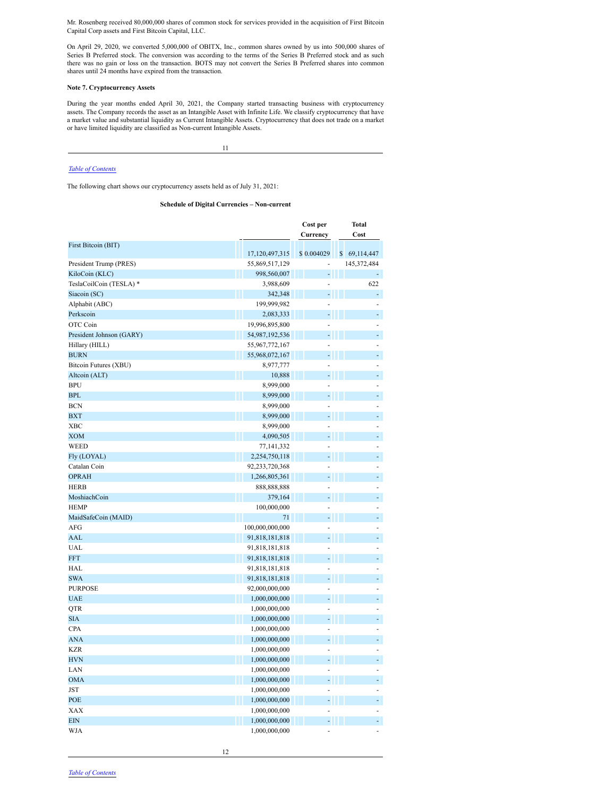Mr. Rosenberg received 80,000,000 shares of common stock for services provided in the acquisition of First Bitcoin Capital Corp assets and First Bitcoin Capital, LLC.

On April 29, 2020, we converted 5,000,000 of OBITX, Inc., common shares owned by us into 500,000 shares of Series B Preferred stock. The conversion was according to the terms of the Series B Preferred stock and as such there was no gain or loss on the transaction. BOTS may not convert the Series B Preferred shares into common shares until 24 months have expired from the transaction.

#### **Note 7. Cryptocurrency Assets**

During the year months ended April 30, 2021, the Company started transacting business with cryptocurrency assets. The Company records the asset as an Intangible Asset with Infinite Life. We classify cryptocurrency that have a market value and substantial liquidity as Current Intangible Assets. Cryptocurrency that does not trade on a market or have limited liquidity are classified as Non-current Intangible Assets.

11

#### *Table of [Contents](#page-2-2)*

The following chart shows our cryptocurrency assets held as of July 31, 2021:

#### **Schedule of Digital Currencies – Non-current**

|                          |                 | Cost per                   | Total       |
|--------------------------|-----------------|----------------------------|-------------|
|                          |                 | Currency                   | Cost        |
| First Bitcoin (BIT)      |                 |                            |             |
|                          | 17,120,497,315  | \$0.004029<br>$\mathbb{S}$ | 69,114,447  |
| President Trump (PRES)   | 55,869,517,129  | ÷,                         | 145,372,484 |
| KiloCoin (KLC)           | 998,560,007     | ÷                          |             |
| TeslaCoilCoin (TESLA) *  | 3,988,609       | ÷,                         | 622         |
| Siacoin (SC)             | 342,348         | - 11                       | ÷,          |
| Alphabit (ABC)           | 199,999,982     | ÷,                         |             |
| Perkscoin                | 2,083,333       | - 11 -                     |             |
| OTC Coin                 | 19,996,895,800  |                            | L,          |
| President Johnson (GARY) | 54,987,192,536  | - I I L                    |             |
| Hillary (HILL)           | 55,967,772,167  | ä,                         |             |
| <b>BURN</b>              | 55,968,072,167  | - 11 -                     |             |
| Bitcoin Futures (XBU)    | 8,977,777       |                            |             |
| Ш<br>Alteoin (ALT)       | 10,888          | - 11 -                     |             |
| <b>BPU</b>               | 8,999,000       |                            | L           |
| <b>BPL</b>               | Ш<br>8,999,000  | - 11                       |             |
| <b>BCN</b>               | 8,999,000       |                            |             |
| <b>BXT</b>               | 8,999,000       | - 11                       |             |
| <b>XBC</b>               | 8,999,000       |                            |             |
| <b>XOM</b>               | 4,090,505       | - 11 -                     |             |
| <b>WEED</b>              | 77,141,332      |                            | L           |
| Fly (LOYAL)              | 2,254,750,118   | - 11                       | ÷,          |
| Catalan Coin             | 92,233,720,368  | ä,                         | L,          |
| <b>OPRAH</b>             | 1,266,805,361   | - 11 -                     |             |
| <b>HERB</b>              | 888,888,888     | ä,                         | ÷,          |
| MoshiachCoin             | Ш<br>379,164    | - 11 -                     | l,          |
| <b>HEMP</b>              | 100,000,000     | ÷                          |             |
| MaidSafeCoin (MAID)      | 71              | - 11 -                     | ÷,          |
| <b>AFG</b>               | 100,000,000,000 |                            |             |
| AAL                      | 91,818,181,818  |                            |             |
| <b>UAL</b>               | 91,818,181,818  |                            |             |
| <b>FFT</b>               | 91,818,181,818  | ÷,<br>W                    | ÷,          |
| HAL                      | 91,818,181,818  |                            |             |
| <b>SWA</b>               | 91,818,181,818  | ÷                          |             |
| <b>PURPOSE</b>           | 92,000,000,000  |                            |             |
| <b>UAE</b>               | 1,000,000,000   | ä,                         |             |
| QTR                      | 1,000,000,000   |                            |             |
| <b>SIA</b>               | 1,000,000,000   | ÷,                         |             |
| <b>CPA</b>               | 1,000,000,000   |                            |             |
| <b>ANA</b>               | 1,000,000,000   | ÷,                         |             |
| <b>KZR</b>               | 1,000,000,000   |                            |             |
| <b>HVN</b>               |                 |                            |             |
| LAN                      | 1,000,000,000   | ٠                          |             |
|                          | 1,000,000,000   |                            |             |
| <b>OMA</b>               | 1,000,000,000   | ٠                          |             |
| <b>JST</b>               | 1,000,000,000   | ä,                         |             |
| POE                      | 1,000,000,000   | - 11                       |             |
| XAX                      | 1,000,000,000   |                            |             |
| <b>EIN</b>               | 1,000,000,000   | - 11                       |             |
| WJA                      | 1,000,000,000   |                            |             |

12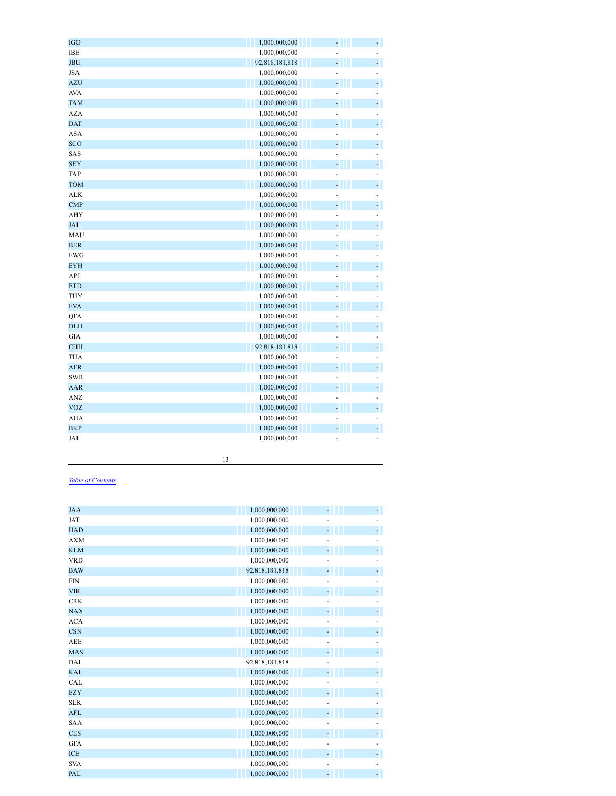| <b>IGO</b> | 1,000,000,000<br>۳                                |
|------------|---------------------------------------------------|
| IBE        | 1,000,000,000                                     |
| <b>JBU</b> | -<br>÷<br>92,818,181,818<br>Ш                     |
| <b>JSA</b> | 1,000,000,000<br>÷,                               |
| <b>AZU</b> | ÷,<br>÷,<br>1,000,000,000<br>W                    |
| <b>AVA</b> | 1,000,000,000<br>÷,                               |
| <b>TAM</b> | $\blacksquare$<br>$\overline{a}$<br>1,000,000,000 |
| <b>AZA</b> | 1,000,000,000<br>ä,                               |
| <b>DAT</b> | ÷,<br>÷,<br>Ш<br>1,000,000,000                    |
| <b>ASA</b> | 1,000,000,000<br>L,<br>÷,                         |
| SCO        | ÷,<br>÷,<br>1,000,000,000<br>W                    |
| SAS        | 1,000,000,000<br>÷                                |
| <b>SEY</b> | -<br>- 11<br>1,000,000,000                        |
| <b>TAP</b> | 1,000,000,000<br>ä,<br>÷,                         |
| <b>TOM</b> | ÷,<br>÷,<br>H<br>1,000,000,000                    |
| <b>ALK</b> | 1,000,000,000<br>L,<br>ä,                         |
| <b>CMP</b> | ÷,<br>÷,<br>1,000,000,000<br>Ш                    |
| <b>AHY</b> | 1,000,000,000<br>÷                                |
| JAI        | -<br>- 11<br>1,000,000,000                        |
| MAU        | 1,000,000,000<br>÷,                               |
| <b>BER</b> | $\frac{1}{\pi}$<br>÷,<br>1,000,000,000<br>Ш       |
| <b>EWG</b> | 1,000,000,000<br>÷                                |
| <b>EYH</b> | ÷,<br>÷,<br>T<br>1,000,000,000                    |
| APJ        | 1,000,000,000<br>÷<br>-                           |
| <b>ETD</b> | ÷,<br>$\frac{1}{\pi}$<br>T<br>1,000,000,000       |
| <b>THY</b> | 1,000,000,000<br>÷,<br>÷                          |
| <b>EVA</b> | $\frac{1}{\pi}$<br>÷,<br>W<br>1,000,000,000       |
| QFA        | 1,000,000,000<br>÷<br>÷,                          |
| <b>DLH</b> | -<br>l,<br>Ш<br>1,000,000,000                     |
| <b>GIA</b> | 1,000,000,000<br>÷,                               |
| <b>CHH</b> | ÷,<br>ł<br>H<br>92,818,181,818                    |
| <b>THA</b> | 1,000,000,000<br>÷                                |
| <b>AFR</b> | ÷,<br>W<br>÷,<br>1,000,000,000                    |
| <b>SWR</b> | 1,000,000,000<br>÷                                |
| <b>AAR</b> | ÷,<br>÷,<br>1,000,000,000<br>Ш                    |
| <b>ANZ</b> | 1,000,000,000<br>÷,                               |
| <b>VOZ</b> | ÷,<br>$\overline{a}$<br>Ш<br>1,000,000,000        |
| <b>AUA</b> | 1,000,000,000                                     |
| <b>BKP</b> | ÷,<br>W<br>1,000,000,000<br>ł                     |
| JAL        | 1,000,000,000<br>÷,                               |
|            |                                                   |

#### *Table of [Contents](#page-2-2)*

| <b>JAA</b> | 1,000,000,000  |  |
|------------|----------------|--|
| JAT        | 1,000,000,000  |  |
| <b>HAD</b> | 1,000,000,000  |  |
| <b>AXM</b> | 1,000,000,000  |  |
| <b>KLM</b> | 1,000,000,000  |  |
| <b>VRD</b> | 1,000,000,000  |  |
| <b>BAW</b> | 92,818,181,818 |  |
| <b>FIN</b> | 1,000,000,000  |  |
| <b>VIR</b> | 1,000,000,000  |  |
| <b>CRK</b> | 1,000,000,000  |  |
| <b>NAX</b> | 1,000,000,000  |  |
| <b>ACA</b> | 1,000,000,000  |  |
| <b>CSN</b> | 1,000,000,000  |  |
| <b>AEE</b> | 1,000,000,000  |  |
| <b>MAS</b> | 1,000,000,000  |  |
| DAL        | 92,818,181,818 |  |
| <b>KAL</b> | 1,000,000,000  |  |
| CAL        | 1,000,000,000  |  |
| <b>EZY</b> | 1,000,000,000  |  |
| <b>SLK</b> | 1,000,000,000  |  |
| <b>AFL</b> | 1,000,000,000  |  |
| <b>SAA</b> | 1,000,000,000  |  |
| <b>CES</b> | 1,000,000,000  |  |
| <b>GFA</b> | 1,000,000,000  |  |
| <b>ICE</b> | 1,000,000,000  |  |
| <b>SVA</b> | 1,000,000,000  |  |
| PAL        | 1,000,000,000  |  |

13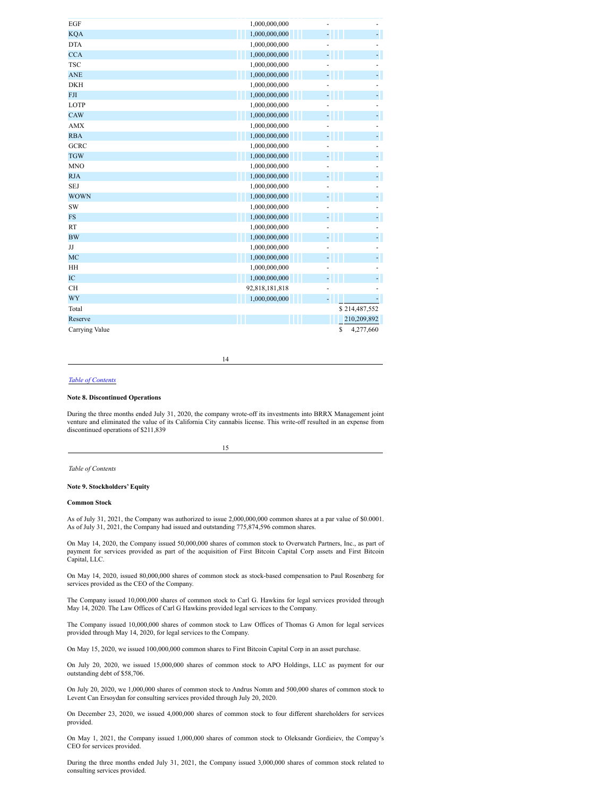| EGF            | 1,000,000,000  |                 |    |
|----------------|----------------|-----------------|----|
| <b>KQA</b>     | 1,000,000,000  |                 |    |
| <b>DTA</b>     | 1,000,000,000  |                 |    |
| <b>CCA</b>     | 1,000,000,000  |                 |    |
| <b>TSC</b>     | 1,000,000,000  |                 |    |
| <b>ANE</b>     | 1,000,000,000  | ä,              |    |
| <b>DKH</b>     | 1,000,000,000  |                 |    |
| <b>FJI</b>     | 1,000,000,000  | ÷               |    |
| <b>LOTP</b>    | 1,000,000,000  |                 |    |
| CAW            | 1,000,000,000  |                 |    |
| <b>AMX</b>     | 1,000,000,000  |                 |    |
| <b>RBA</b>     | 1,000,000,000  |                 | ÷  |
| <b>GCRC</b>    | 1,000,000,000  |                 |    |
| <b>TGW</b>     | 1,000,000,000  |                 |    |
| <b>MNO</b>     | 1,000,000,000  |                 |    |
| <b>RJA</b>     | 1,000,000,000  |                 |    |
| <b>SEJ</b>     | 1,000,000,000  |                 |    |
| <b>WOWN</b>    | 1,000,000,000  | ۹               |    |
| SW             | 1,000,000,000  |                 |    |
| <b>FS</b>      | 1,000,000,000  |                 |    |
| <b>RT</b>      | 1,000,000,000  |                 |    |
| <b>BW</b>      | 1,000,000,000  | ÷,              | L, |
| JJ             | 1,000,000,000  |                 |    |
| MC             | 1,000,000,000  |                 |    |
| HH             | 1,000,000,000  |                 |    |
| IC             | 1,000,000,000  |                 |    |
| <b>CH</b>      | 92,818,181,818 |                 |    |
| WY             | 1,000,000,000  |                 |    |
| Total          |                | \$214,487,552   |    |
| Reserve        |                | 210,209,892     |    |
| Carrying Value |                | \$<br>4,277,660 |    |

14

#### *Table of [Contents](#page-2-2)*

#### **Note 8. Discontinued Operations**

During the three months ended July 31, 2020, the company wrote-off its investments into BRRX Management joint venture and eliminated the value of its California City cannabis license. This write-off resulted in an expense from discontinued operations of \$211,839

15

*Table of Contents*

#### **Note 9. Stockholders' Equity**

#### **Common Stock**

As of July 31, 2021, the Company was authorized to issue 2,000,000,000 common shares at a par value of \$0.0001. As of July 31, 2021, the Company had issued and outstanding 775,874,596 common shares.

On May 14, 2020, the Company issued 50,000,000 shares of common stock to Overwatch Partners, Inc., as part of payment for services provided as part of the acquisition of First Bitcoin Capital Corp assets and First Bitcoin Capital, LLC.

On May 14, 2020, issued 80,000,000 shares of common stock as stock-based compensation to Paul Rosenberg for services provided as the CEO of the Company.

The Company issued 10,000,000 shares of common stock to Carl G. Hawkins for legal services provided through May 14, 2020. The Law Offices of Carl G Hawkins provided legal services to the Company.

The Company issued 10,000,000 shares of common stock to Law Offices of Thomas G Amon for legal services provided through May 14, 2020, for legal services to the Company.

On May 15, 2020, we issued 100,000,000 common shares to First Bitcoin Capital Corp in an asset purchase.

On July 20, 2020, we issued 15,000,000 shares of common stock to APO Holdings, LLC as payment for our outstanding debt of \$58,706.

On July 20, 2020, we 1,000,000 shares of common stock to Andrus Nomm and 500,000 shares of common stock to Levent Can Ersoydan for consulting services provided through July 20, 2020.

On December 23, 2020, we issued 4,000,000 shares of common stock to four different shareholders for services provided.

On May 1, 2021, the Company issued 1,000,000 shares of common stock to Oleksandr Gordieiev, the Compay's CEO for services provided.

During the three months ended July 31, 2021, the Company issued 3,000,000 shares of common stock related to consulting services provided.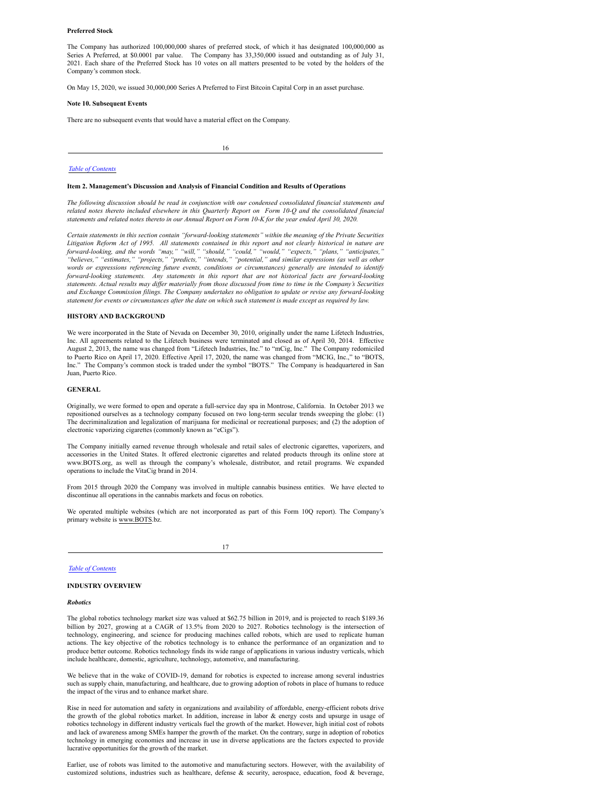#### **Preferred Stock**

The Company has authorized 100,000,000 shares of preferred stock, of which it has designated 100,000,000 as Series A Preferred, at \$0.0001 par value. The Company has 33,350,000 issued and outstanding as of July 31, 2021. Each share of the Preferred Stock has 10 votes on all matters presented to be voted by the holders of the Company's common stock.

On May 15, 2020, we issued 30,000,000 Series A Preferred to First Bitcoin Capital Corp in an asset purchase.

#### **Note 10. Subsequent Events**

There are no subsequent events that would have a material effect on the Company.

16

#### *Table of [Contents](#page-2-2)*

#### <span id="page-10-0"></span>**Item 2. Management's Discussion and Analysis of Financial Condition and Results of Operations**

*The following discussion should be read in conjunction with our condensed consolidated financial statements and related notes thereto included elsewhere in this Quarterly Report on Form 10-Q and the consolidated financial* statements and related notes thereto in our Annual Report on Form 10-K for the year ended April 30, 2020.

*Certain statements in this section contain "forward-looking statements" within the meaning of the Private Securities* Litigation Reform Act of 1995. All statements contained in this report and not clearly historical in nature are *forward-looking, and the words "may," "will," "should," "could," "would," "expects," "plans," "anticipates," "believes," "estimates," "projects," "predicts," "intends," "potential," and similar expressions (as well as other words or expressions referencing future events, conditions or circumstances) generally are intended to identify forward-looking statements. Any statements in this report that are not historical facts are forward-looking* statements. Actual results may differ materially from those discussed from time to time in the Company's Securities *and Exchange Commission filings. The Company undertakes no obligation to update or revise any forward-looking* statement for events or circumstances after the date on which such statement is made except as required by law.

#### **HISTORY AND BACKGROUND**

We were incorporated in the State of Nevada on December 30, 2010, originally under the name Lifetech Industries, Inc. All agreements related to the Lifetech business were terminated and closed as of April 30, 2014. Effective August 2, 2013, the name was changed from "Lifetech Industries, Inc." to "mCig, Inc." The Company redomiciled to Puerto Rico on April 17, 2020. Effective April 17, 2020, the name was changed from "MCIG, Inc.," to "BOTS, Inc." The Company's common stock is traded under the symbol "BOTS." The Company is headquartered in San Juan, Puerto Rico.

#### **GENERAL**

Originally, we were formed to open and operate a full-service day spa in Montrose, California. In October 2013 we repositioned ourselves as a technology company focused on two long-term secular trends sweeping the globe: (1) The decriminalization and legalization of marijuana for medicinal or recreational purposes; and (2) the adoption of electronic vaporizing cigarettes (commonly known as "eCigs").

The Company initially earned revenue through wholesale and retail sales of electronic cigarettes, vaporizers, and accessories in the United States. It offered electronic cigarettes and related products through its online store at www.BOTS.org, as well as through the company's wholesale, distributor, and retail programs. We expanded operations to include the VitaCig brand in 2014.

From 2015 through 2020 the Company was involved in multiple cannabis business entities. We have elected to discontinue all operations in the cannabis markets and focus on robotics.

We operated multiple websites (which are not incorporated as part of this Form 10Q report). The Company's primary website is www.BOTS.bz.

#### *Table of [Contents](#page-2-2)*

#### **INDUSTRY OVERVIEW**

#### *Robotics*

The global robotics technology market size was valued at \$62.75 billion in 2019, and is projected to reach \$189.36 billion by 2027, growing at a CAGR of 13.5% from 2020 to 2027. Robotics technology is the intersection of technology, engineering, and science for producing machines called robots, which are used to replicate human actions. The key objective of the robotics technology is to enhance the performance of an organization and to produce better outcome. Robotics technology finds its wide range of applications in various industry verticals, which include healthcare, domestic, agriculture, technology, automotive, and manufacturing.

We believe that in the wake of COVID-19, demand for robotics is expected to increase among several industries such as supply chain, manufacturing, and healthcare, due to growing adoption of robots in place of humans to reduce the impact of the virus and to enhance market share.

Rise in need for automation and safety in organizations and availability of affordable, energy-efficient robots drive the growth of the global robotics market. In addition, increase in labor & energy costs and upsurge in usage of robotics technology in different industry verticals fuel the growth of the market. However, high initial cost of robots and lack of awareness among SMEs hamper the growth of the market. On the contrary, surge in adoption of robotics technology in emerging economies and increase in use in diverse applications are the factors expected to provide lucrative opportunities for the growth of the market.

Earlier, use of robots was limited to the automotive and manufacturing sectors. However, with the availability of customized solutions, industries such as healthcare, defense & security, aerospace, education, food & beverage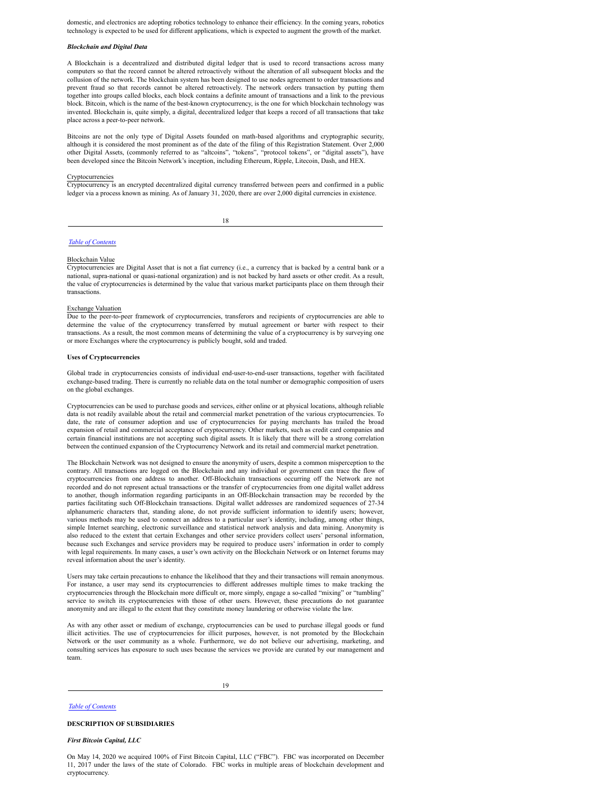domestic, and electronics are adopting robotics technology to enhance their efficiency. In the coming years, robotics technology is expected to be used for different applications, which is expected to augment the growth of the market.

#### *Blockchain and Digital Data*

A Blockchain is a decentralized and distributed digital ledger that is used to record transactions across many computers so that the record cannot be altered retroactively without the alteration of all subsequent blocks and the collusion of the network. The blockchain system has been designed to use nodes agreement to order transactions and prevent fraud so that records cannot be altered retroactively. The network orders transaction by putting them together into groups called blocks, each block contains a definite amount of transactions and a link to the previous block. Bitcoin, which is the name of the best-known cryptocurrency, is the one for which blockchain technology was invented. Blockchain is, quite simply, a digital, decentralized ledger that keeps a record of all transactions that take place across a peer-to-peer network.

Bitcoins are not the only type of Digital Assets founded on math-based algorithms and cryptographic security, although it is considered the most prominent as of the date of the filing of this Registration Statement. Over 2,000 other Digital Assets, (commonly referred to as "altcoins", "tokens", "protocol tokens", or "digital assets"), have been developed since the Bitcoin Network's inception, including Ethereum, Ripple, Litecoin, Dash, and HEX.

#### Cryptocurrencies

Cryptocurrency is an encrypted decentralized digital currency transferred between peers and confirmed in a public ledger via a process known as mining. As of January 31, 2020, there are over 2,000 digital currencies in existence.

18

#### *Table of [Contents](#page-2-2)*

#### Blockchain Value

Cryptocurrencies are Digital Asset that is not a fiat currency (i.e., a currency that is backed by a central bank or a national, supra-national or quasi-national organization) and is not backed by hard assets or other credit. As a result, the value of cryptocurrencies is determined by the value that various market participants place on them through their transactions.

#### Exchange Valuation

Due to the peer-to-peer framework of cryptocurrencies, transferors and recipients of cryptocurrencies are able to determine the value of the cryptocurrency transferred by mutual agreement or barter with respect to their transactions. As a result, the most common means of determining the value of a cryptocurrency is by surveying one or more Exchanges where the cryptocurrency is publicly bought, sold and traded.

#### **Uses of Cryptocurrencies**

Global trade in cryptocurrencies consists of individual end-user-to-end-user transactions, together with facilitated exchange-based trading. There is currently no reliable data on the total number or demographic composition of users on the global exchanges.

Cryptocurrencies can be used to purchase goods and services, either online or at physical locations, although reliable data is not readily available about the retail and commercial market penetration of the various cryptocurrencies. To date, the rate of consumer adoption and use of cryptocurrencies for paying merchants has trailed the broad expansion of retail and commercial acceptance of cryptocurrency. Other markets, such as credit card companies and certain financial institutions are not accepting such digital assets. It is likely that there will be a strong correlation between the continued expansion of the Cryptocurrency Network and its retail and commercial market penetration.

The Blockchain Network was not designed to ensure the anonymity of users, despite a common misperception to the contrary. All transactions are logged on the Blockchain and any individual or government can trace the flow of cryptocurrencies from one address to another. Off-Blockchain transactions occurring off the Network are not recorded and do not represent actual transactions or the transfer of cryptocurrencies from one digital wallet address to another, though information regarding participants in an Off-Blockchain transaction may be recorded by the parties facilitating such Off-Blockchain transactions. Digital wallet addresses are randomized sequences of 27-34 alphanumeric characters that, standing alone, do not provide sufficient information to identify users; however, various methods may be used to connect an address to a particular user's identity, including, among other things, simple Internet searching, electronic surveillance and statistical network analysis and data mining. Anonymity is also reduced to the extent that certain Exchanges and other service providers collect users' personal information, because such Exchanges and service providers may be required to produce users' information in order to comply with legal requirements. In many cases, a user's own activity on the Blockchain Network or on Internet forums may reveal information about the user's identity.

Users may take certain precautions to enhance the likelihood that they and their transactions will remain anonymous. For instance, a user may send its cryptocurrencies to different addresses multiple times to make tracking the cryptocurrencies through the Blockchain more difficult or, more simply, engage a so-called "mixing" or "tumbling" service to switch its cryptocurrencies with those of other users. However, these precautions do not guarantee anonymity and are illegal to the extent that they constitute money laundering or otherwise violate the law.

As with any other asset or medium of exchange, cryptocurrencies can be used to purchase illegal goods or fund illicit activities. The use of cryptocurrencies for illicit purposes, however, is not promoted by the Blockchain Network or the user community as a whole. Furthermore, we do not believe our advertising, marketing, and consulting services has exposure to such uses because the services we provide are curated by our management and team.

19

#### *Table of [Contents](#page-2-2)*

#### **DESCRIPTION OF SUBSIDIARIES**

#### *First Bitcoin Capital, LLC*

On May 14, 2020 we acquired 100% of First Bitcoin Capital, LLC ("FBC"). FBC was incorporated on December 11, 2017 under the laws of the state of Colorado. FBC works in multiple areas of blockchain development and cryptocurrency.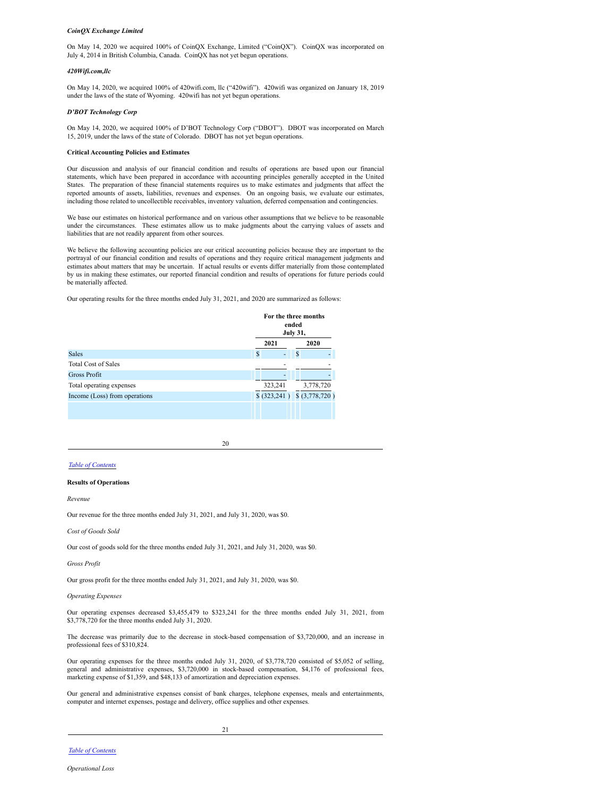#### *CoinQX Exchange Limited*

On May 14, 2020 we acquired 100% of CoinQX Exchange, Limited ("CoinQX"). CoinQX was incorporated on July 4, 2014 in British Columbia, Canada. CoinQX has not yet begun operations.

#### *420Wifi.com,llc*

On May 14, 2020, we acquired 100% of 420wifi.com, llc ("420wifi"). 420wifi was organized on January 18, 2019 under the laws of the state of Wyoming. 420wifi has not yet begun operations.

#### *D'BOT Technology Corp*

On May 14, 2020, we acquired 100% of D'BOT Technology Corp ("DBOT"). DBOT was incorporated on March 15, 2019, under the laws of the state of Colorado. DBOT has not yet begun operations.

#### **Critical Accounting Policies and Estimates**

Our discussion and analysis of our financial condition and results of operations are based upon our financial statements, which have been prepared in accordance with accounting principles generally accepted in the United States. The preparation of these financial statements requires us to make estimates and judgments that affect the reported amounts of assets, liabilities, revenues and expenses. On an ongoing basis, we evaluate our estimates, including those related to uncollectible receivables, inventory valuation, deferred compensation and contingencies.

We base our estimates on historical performance and on various other assumptions that we believe to be reasonable under the circumstances. These estimates allow us to make judgments about the carrying values of assets and liabilities that are not readily apparent from other sources.

We believe the following accounting policies are our critical accounting policies because they are important to the portrayal of our financial condition and results of operations and they require critical management judgments and estimates about matters that may be uncertain. If actual results or events differ materially from those contemplated by us in making these estimates, our reported financial condition and results of operations for future periods could be materially affected.

Our operating results for the three months ended July 31, 2021, and 2020 are summarized as follows:

|                               | For the three months<br>ended<br><b>July 31,</b> |                                   |
|-------------------------------|--------------------------------------------------|-----------------------------------|
|                               | 2021                                             | 2020                              |
| <b>Sales</b>                  | $\mathbf{s}$<br>۰                                | S                                 |
| <b>Total Cost of Sales</b>    |                                                  |                                   |
| <b>Gross Profit</b>           |                                                  |                                   |
| Total operating expenses      | 323,241                                          | 3,778,720                         |
| Income (Loss) from operations |                                                  | $$ (323,241) \quad $ (3,778,720)$ |
|                               |                                                  |                                   |

20

#### *Table of [Contents](#page-2-2)*

#### **Results of Operations**

*Revenue*

Our revenue for the three months ended July 31, 2021, and July 31, 2020, was \$0.

*Cost of Goods Sold*

Our cost of goods sold for the three months ended July 31, 2021, and July 31, 2020, was \$0.

*Gross Profit*

Our gross profit for the three months ended July 31, 2021, and July 31, 2020, was \$0.

*Operating Expenses*

Our operating expenses decreased \$3,455,479 to \$323,241 for the three months ended July 31, 2021, from \$3,778,720 for the three months ended July 31, 2020.

The decrease was primarily due to the decrease in stock-based compensation of \$3,720,000, and an increase in professional fees of \$310,824.

Our operating expenses for the three months ended July 31, 2020, of \$3,778,720 consisted of \$5,052 of selling, general and administrative expenses, \$3,720,000 in stock-based compensation, \$4,176 of professional fees, marketing expense of \$1,359, and \$48,133 of amortization and depreciation expenses.

Our general and administrative expenses consist of bank charges, telephone expenses, meals and entertainments, computer and internet expenses, postage and delivery, office supplies and other expenses.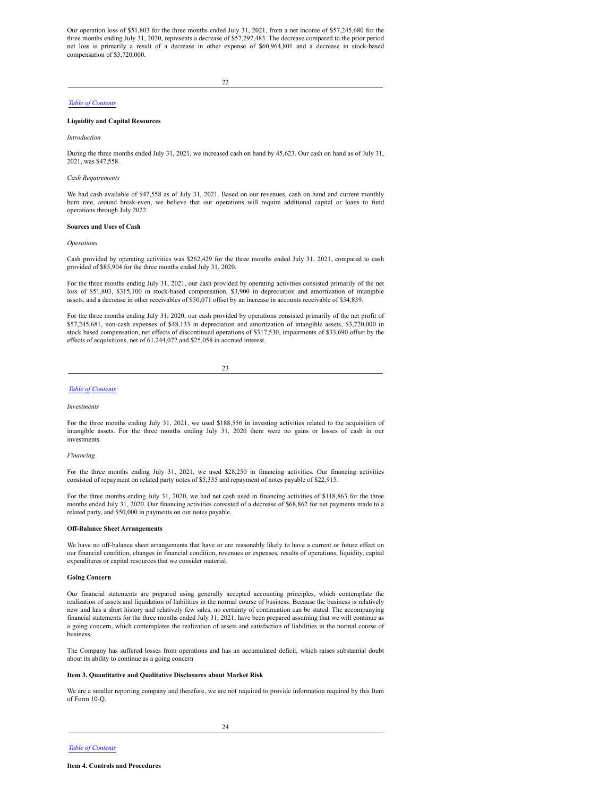Our operation loss of \$51,803 for the three months ended July 31, 2021, from a net income of \$57,245,680 for the three months ending July 31, 2020, represents a decrease of \$57,297,483. The decrease compared to the prior period net loss is primarily a result of a decrease in other expense of \$60,964,801 and a decrease in stock-based compensation of \$3,720,000.

22

#### *Table of [Contents](#page-2-2)*

#### **Liquidity and Capital Resources**

*Introduction*

During the three months ended July 31, 2021, we increased cash on hand by 45,623. Our cash on hand as of July 31, 2021, was \$47,558.

#### *Cash Requirements*

We had cash available of \$47,558 as of July 31, 2021. Based on our revenues, cash on hand and current monthly burn rate, around break-even, we believe that our operations will require additional capital or loans to fund operations through July 2022.

#### **Sources and Uses of Cash**

#### *Operations*

Cash provided by operating activities was \$262,429 for the three months ended July 31, 2021, compared to cash provided of \$85,904 for the three months ended July 31, 2020.

For the three months ending July 31, 2021, our cash provided by operating activities consisted primarily of the net loss of \$51,803, \$315,100 in stock-based compensation, \$3,900 in depreciation and amortization of intangible assets, and a decrease in other receivables of \$50,071 offset by an increase in accounts receivable of \$54,839.

For the three months ending July 31, 2020, our cash provided by operations consisted primarily of the net profit of \$57,245,681, non-cash expenses of \$48,133 in depreciation and amortization of intangible assets, \$3,720,000 in stock based compensation, net effects of discontinued operations of \$317,530, impairments of \$33,690 offset by the effects of acquisitions, net of 61,244,072 and \$25,058 in accrued interest.

23

#### *Table of [Contents](#page-2-2)*

#### *Investments*

For the three months ending July 31, 2021, we used \$188,556 in investing activities related to the acquisition of intangible assets. For the three months ending July 31, 2020 there were no gains or losses of cash in our investments.

#### *Financing*

For the three months ending July 31, 2021, we used \$28,250 in financing activities. Our financing activities consisted of repayment on related party notes of \$5,335 and repayment of notes payable of \$22,915.

For the three months ending July 31, 2020, we had net cash used in financing activities of \$118,863 for the three months ended July 31, 2020. Our financing activities consisted of a decrease of \$68,862 for net payments made to a related party, and \$50,000 in payments on our notes payable.

#### **Off-Balance Sheet Arrangements**

We have no off-balance sheet arrangements that have or are reasonably likely to have a current or future effect on our financial condition, changes in financial condition, revenues or expenses, results of operations, liquidity, capital expenditures or capital resources that we consider material.

#### **Going Concern**

Our financial statements are prepared using generally accepted accounting principles, which contemplate the realization of assets and liquidation of liabilities in the normal course of business. Because the business is relatively new and has a short history and relatively few sales, no certainty of continuation can be stated. The accompanying financial statements for the three months ended July 31, 2021, have been prepared assuming that we will continue as a going concern, which contemplates the realization of assets and satisfaction of liabilities in the normal course of business.

The Company has suffered losses from operations and has an accumulated deficit, which raises substantial doubt about its ability to continue as a going concern

#### <span id="page-13-0"></span>**Item 3. Quantitative and Qualitative Disclosures about Market Risk**

<span id="page-13-1"></span>We are a smaller reporting company and therefore, we are not required to provide information required by this Item of Form 10-Q.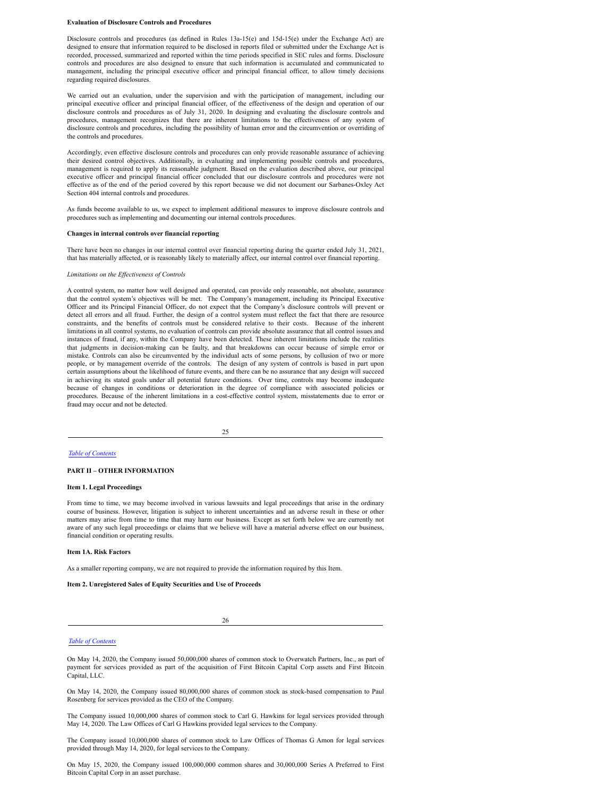#### **Evaluation of Disclosure Controls and Procedures**

Disclosure controls and procedures (as defined in Rules 13a-15(e) and 15d-15(e) under the Exchange Act) are designed to ensure that information required to be disclosed in reports filed or submitted under the Exchange Act is recorded, processed, summarized and reported within the time periods specified in SEC rules and forms. Disclosure controls and procedures are also designed to ensure that such information is accumulated and communicated to management, including the principal executive officer and principal financial officer, to allow timely decisions regarding required disclosures.

We carried out an evaluation, under the supervision and with the participation of management, including our principal executive officer and principal financial officer, of the effectiveness of the design and operation of our disclosure controls and procedures as of July 31, 2020. In designing and evaluating the disclosure controls and procedures, management recognizes that there are inherent limitations to the effectiveness of any system of disclosure controls and procedures, including the possibility of human error and the circumvention or overriding of the controls and procedures.

Accordingly, even effective disclosure controls and procedures can only provide reasonable assurance of achieving their desired control objectives. Additionally, in evaluating and implementing possible controls and procedures, management is required to apply its reasonable judgment. Based on the evaluation described above, our principal executive officer and principal financial officer concluded that our disclosure controls and procedures were not effective as of the end of the period covered by this report because we did not document our Sarbanes-Oxley Act Section 404 internal controls and procedures.

As funds become available to us, we expect to implement additional measures to improve disclosure controls and procedures such as implementing and documenting our internal controls procedures.

#### **Changes in internal controls over financial reporting**

There have been no changes in our internal control over financial reporting during the quarter ended July 31, 2021, that has materially affected, or is reasonably likely to materially affect, our internal control over financial reporting.

#### *Limitations on the Ef ectiveness of Controls*

A control system, no matter how well designed and operated, can provide only reasonable, not absolute, assurance that the control system's objectives will be met. The Company's management, including its Principal Executive Officer and its Principal Financial Officer, do not expect that the Company's disclosure controls will prevent or detect all errors and all fraud. Further, the design of a control system must reflect the fact that there are resource constraints, and the benefits of controls must be considered relative to their costs. Because of the inherent limitations in all control systems, no evaluation of controls can provide absolute assurance that all control issues and instances of fraud, if any, within the Company have been detected. These inherent limitations include the realities that judgments in decision-making can be faulty, and that breakdowns can occur because of simple error or mistake. Controls can also be circumvented by the individual acts of some persons, by collusion of two or more people, or by management override of the controls. The design of any system of controls is based in part upon certain assumptions about the likelihood of future events, and there can be no assurance that any design will succeed in achieving its stated goals under all potential future conditions. Over time, controls may become inadequate because of changes in conditions or deterioration in the degree of compliance with associated policies or procedures. Because of the inherent limitations in a cost-effective control system, misstatements due to error or fraud may occur and not be detected.

25

#### *Table of [Contents](#page-2-2)*

#### **PART II – OTHER INFORMATION**

#### <span id="page-14-0"></span>**Item 1. Legal Proceedings**

From time to time, we may become involved in various lawsuits and legal proceedings that arise in the ordinary course of business. However, litigation is subject to inherent uncertainties and an adverse result in these or other matters may arise from time to time that may harm our business. Except as set forth below we are currently not aware of any such legal proceedings or claims that we believe will have a material adverse effect on our business, financial condition or operating results.

#### <span id="page-14-1"></span>**Item 1A. Risk Factors**

As a smaller reporting company, we are not required to provide the information required by this Item.

<span id="page-14-2"></span>**Item 2. Unregistered Sales of Equity Securities and Use of Proceeds**

26

#### *Table of [Contents](#page-2-2)*

On May 14, 2020, the Company issued 50,000,000 shares of common stock to Overwatch Partners, Inc., as part of payment for services provided as part of the acquisition of First Bitcoin Capital Corp assets and First Bitcoin Capital, LLC.

On May 14, 2020, the Company issued 80,000,000 shares of common stock as stock-based compensation to Paul Rosenberg for services provided as the CEO of the Company.

The Company issued 10,000,000 shares of common stock to Carl G. Hawkins for legal services provided through May 14, 2020. The Law Offices of Carl G Hawkins provided legal services to the Company.

The Company issued 10,000,000 shares of common stock to Law Offices of Thomas G Amon for legal services provided through May 14, 2020, for legal services to the Company.

On May 15, 2020, the Company issued 100,000,000 common shares and 30,000,000 Series A Preferred to First Bitcoin Capital Corp in an asset purchase.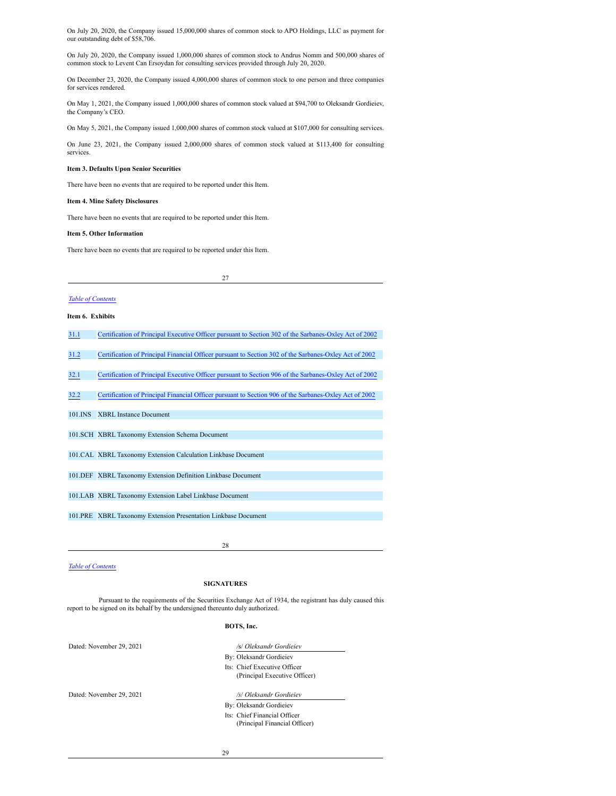On July 20, 2020, the Company issued 15,000,000 shares of common stock to APO Holdings, LLC as payment for our outstanding debt of \$58,706.

On July 20, 2020, the Company issued 1,000,000 shares of common stock to Andrus Nomm and 500,000 shares of common stock to Levent Can Ersoydan for consulting services provided through July 20, 2020.

On December 23, 2020, the Company issued 4,000,000 shares of common stock to one person and three companies for services rendered.

On May 1, 2021, the Company issued 1,000,000 shares of common stock valued at \$94,700 to Oleksandr Gordieiev, the Company's CEO.

On May 5, 2021, the Company issued 1,000,000 shares of common stock valued at \$107,000 for consulting services.

On June 23, 2021, the Company issued 2,000,000 shares of common stock valued at \$113,400 for consulting services.

#### <span id="page-15-0"></span>**Item 3. Defaults Upon Senior Securities**

There have been no events that are required to be reported under this Item.

#### <span id="page-15-1"></span>**Item 4. Mine Safety Disclosures**

There have been no events that are required to be reported under this Item.

#### <span id="page-15-2"></span>**Item 5. Other Information**

There have been no events that are required to be reported under this Item.

27

#### *Table of [Contents](#page-2-2)*

#### <span id="page-15-3"></span>**Item 6. Exhibits**

|  | 31.1 |  |  | Certification of Principal Executive Officer pursuant to Section 302 of the Sarbanes-Oxley Act of 2002 |  |  |
|--|------|--|--|--------------------------------------------------------------------------------------------------------|--|--|
|--|------|--|--|--------------------------------------------------------------------------------------------------------|--|--|

[31.2](#page-17-0) Certification of Principal Financial Officer pursuant to Section 302 of the [Sarbanes-Oxley](#page-17-0) Act of 2002

[32.1](#page-18-0) Certification of Principal Executive Officer pursuant to Section 906 of the [Sarbanes-Oxley](#page-18-0) Act of 2002

32.2 Certification of Principal Financial Officer pursuant to Section 906 of the Sarbanes-Oxley Act of 2002

101.INS XBRL Instance Document

101.SCH XBRL Taxonomy Extension Schema Document

101.CAL XBRL Taxonomy Extension Calculation Linkbase Document

101.DEF XBRL Taxonomy Extension Definition Linkbase Document

101.LAB XBRL Taxonomy Extension Label Linkbase Document

101.PRE XBRL Taxonomy Extension Presentation Linkbase Document

28

#### <span id="page-15-4"></span>*Table of [Contents](#page-2-2)*

#### **SIGNATURES**

Pursuant to the requirements of the Securities Exchange Act of 1934, the registrant has duly caused this report to be signed on its behalf by the undersigned thereunto duly authorized.

#### **BOTS, Inc.**

Dated: November 29, 2021 */*s/ *Oleksandr Gordieiev*

By: Oleksandr Gordieiev

Its: Chief Executive Officer (Principal Executive Officer)

Dated: November 29, 2021 */s*/ *Oleksandr Gordieiev*

- By: Oleksandr Gordieiev
- Its: Chief Financial Officer
- (Principal Financial Officer)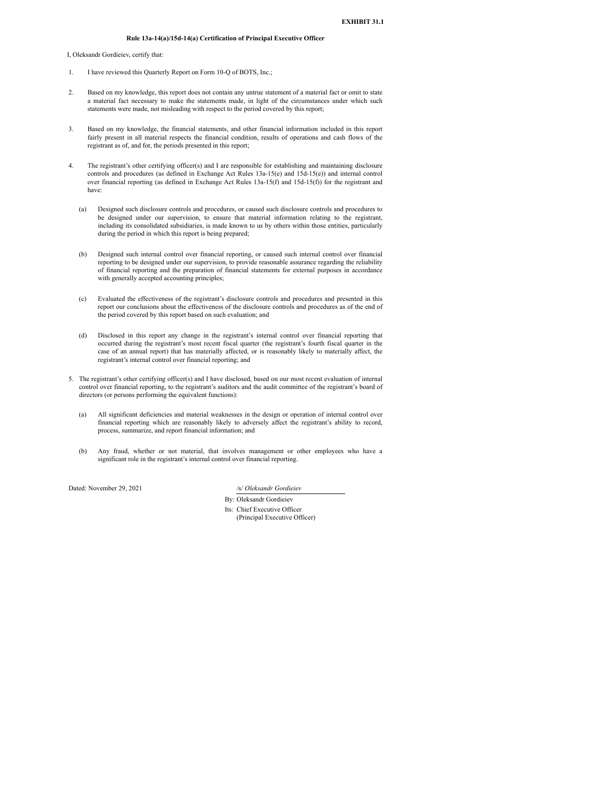#### **Rule 13a-14(a)/15d-14(a) Certification of Principal Executive Officer**

<span id="page-16-0"></span>I, Oleksandr Gordieiev, certify that:

- 1. I have reviewed this Quarterly Report on Form 10-Q of BOTS, Inc.;
- 2. Based on my knowledge, this report does not contain any untrue statement of a material fact or omit to state a material fact necessary to make the statements made, in light of the circumstances under which such statements were made, not misleading with respect to the period covered by this report;
- 3. Based on my knowledge, the financial statements, and other financial information included in this report fairly present in all material respects the financial condition, results of operations and cash flows of the registrant as of, and for, the periods presented in this report;
- 4. The registrant's other certifying officer(s) and I are responsible for establishing and maintaining disclosure controls and procedures (as defined in Exchange Act Rules 13a-15(e) and 15d-15(e)) and internal control over financial reporting (as defined in Exchange Act Rules 13a-15(f) and 15d-15(f)) for the registrant and have:
	- (a) Designed such disclosure controls and procedures, or caused such disclosure controls and procedures to be designed under our supervision, to ensure that material information relating to the registrant, including its consolidated subsidiaries, is made known to us by others within those entities, particularly during the period in which this report is being prepared;
	- (b) Designed such internal control over financial reporting, or caused such internal control over financial reporting to be designed under our supervision, to provide reasonable assurance regarding the reliability of financial reporting and the preparation of financial statements for external purposes in accordance with generally accepted accounting principles;
	- (c) Evaluated the effectiveness of the registrant's disclosure controls and procedures and presented in this report our conclusions about the effectiveness of the disclosure controls and procedures as of the end of the period covered by this report based on such evaluation; and
	- (d) Disclosed in this report any change in the registrant's internal control over financial reporting that occurred during the registrant's most recent fiscal quarter (the registrant's fourth fiscal quarter in the case of an annual report) that has materially affected, or is reasonably likely to materially affect, the registrant's internal control over financial reporting; and
- 5. The registrant's other certifying officer(s) and I have disclosed, based on our most recent evaluation of internal control over financial reporting, to the registrant's auditors and the audit committee of the registrant's board of directors (or persons performing the equivalent functions):
	- (a) All significant deficiencies and material weaknesses in the design or operation of internal control over financial reporting which are reasonably likely to adversely affect the registrant's ability to record, process, summarize, and report financial information; and
	- (b) Any fraud, whether or not material, that involves management or other employees who have a significant role in the registrant's internal control over financial reporting.

Dated: November 29, 2021 */*s/ *Oleksandr Gordieiev*

By: Oleksandr Gordieiev

Its: Chief Executive Officer (Principal Executive Officer)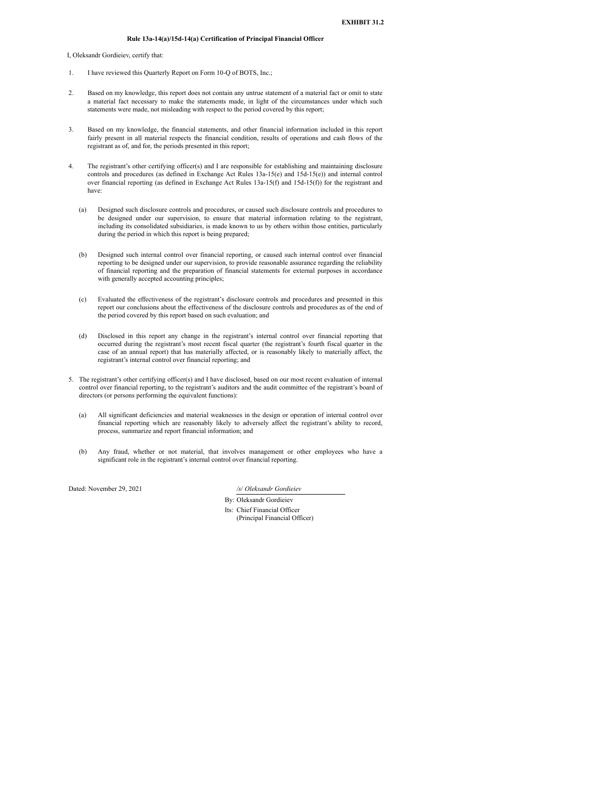#### **Rule 13a-14(a)/15d-14(a) Certification of Principal Financial Officer**

<span id="page-17-0"></span>I, Oleksandr Gordieiev, certify that:

- 1. I have reviewed this Quarterly Report on Form 10-Q of BOTS, Inc.;
- 2. Based on my knowledge, this report does not contain any untrue statement of a material fact or omit to state a material fact necessary to make the statements made, in light of the circumstances under which such statements were made, not misleading with respect to the period covered by this report;
- 3. Based on my knowledge, the financial statements, and other financial information included in this report fairly present in all material respects the financial condition, results of operations and cash flows of the registrant as of, and for, the periods presented in this report;
- 4. The registrant's other certifying officer(s) and I are responsible for establishing and maintaining disclosure controls and procedures (as defined in Exchange Act Rules 13a-15(e) and 15d-15(e)) and internal control over financial reporting (as defined in Exchange Act Rules 13a-15(f) and 15d-15(f)) for the registrant and have:
	- (a) Designed such disclosure controls and procedures, or caused such disclosure controls and procedures to be designed under our supervision, to ensure that material information relating to the registrant, including its consolidated subsidiaries, is made known to us by others within those entities, particularly during the period in which this report is being prepared;
	- (b) Designed such internal control over financial reporting, or caused such internal control over financial reporting to be designed under our supervision, to provide reasonable assurance regarding the reliability of financial reporting and the preparation of financial statements for external purposes in accordance with generally accepted accounting principles;
	- (c) Evaluated the effectiveness of the registrant's disclosure controls and procedures and presented in this report our conclusions about the effectiveness of the disclosure controls and procedures as of the end of the period covered by this report based on such evaluation; and
	- (d) Disclosed in this report any change in the registrant's internal control over financial reporting that occurred during the registrant's most recent fiscal quarter (the registrant's fourth fiscal quarter in the case of an annual report) that has materially affected, or is reasonably likely to materially affect, the registrant's internal control over financial reporting; and
- 5. The registrant's other certifying officer(s) and I have disclosed, based on our most recent evaluation of internal control over financial reporting, to the registrant's auditors and the audit committee of the registrant's board of directors (or persons performing the equivalent functions):
	- (a) All significant deficiencies and material weaknesses in the design or operation of internal control over financial reporting which are reasonably likely to adversely affect the registrant's ability to record, process, summarize and report financial information; and
	- (b) Any fraud, whether or not material, that involves management or other employees who have a significant role in the registrant's internal control over financial reporting.

Dated: November 29, 2021 */s*/ *Oleksandr Gordieiev*

- By: Oleksandr Gordieiev
- Its: Chief Financial Officer (Principal Financial Officer)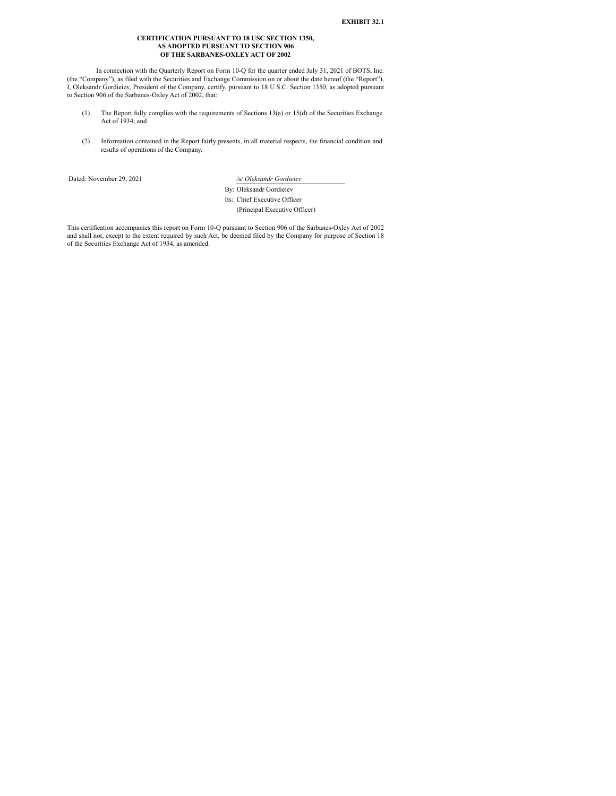#### **CERTIFICATION PURSUANT TO 18 USC SECTION 1350, AS ADOPTED PURSUANT TO SECTION 906 OF THE SARBANES-OXLEY ACT OF 2002**

<span id="page-18-0"></span>In connection with the Quarterly Report on Form 10-Q for the quarter ended July 31, 2021 of BOTS, Inc. (the "Company"), as filed with the Securities and Exchange Commission on or about the date hereof (the "Report"), I, Oleksandr Gordieiev, President of the Company, certify, pursuant to 18 U.S.C. Section 1350, as adopted pursuant to Section 906 of the Sarbanes-Oxley Act of 2002, that:

- (1) The Report fully complies with the requirements of Sections 13(a) or 15(d) of the Securities Exchange Act of 1934; and
- (2) Information contained in the Report fairly presents, in all material respects, the financial condition and results of operations of the Company.

Dated: November 29, 2021 */*s/ *Oleksandr Gordieiev*

By: Oleksandr Gordieiev Its: Chief Executive Officer

(Principal Executive Officer)

This certification accompanies this report on Form 10-Q pursuant to Section 906 of the Sarbanes-Oxley Act of 2002 and shall not, except to the extent required by such Act, be deemed filed by the Company for purpose of Section 18 of the Securities Exchange Act of 1934, as amended.